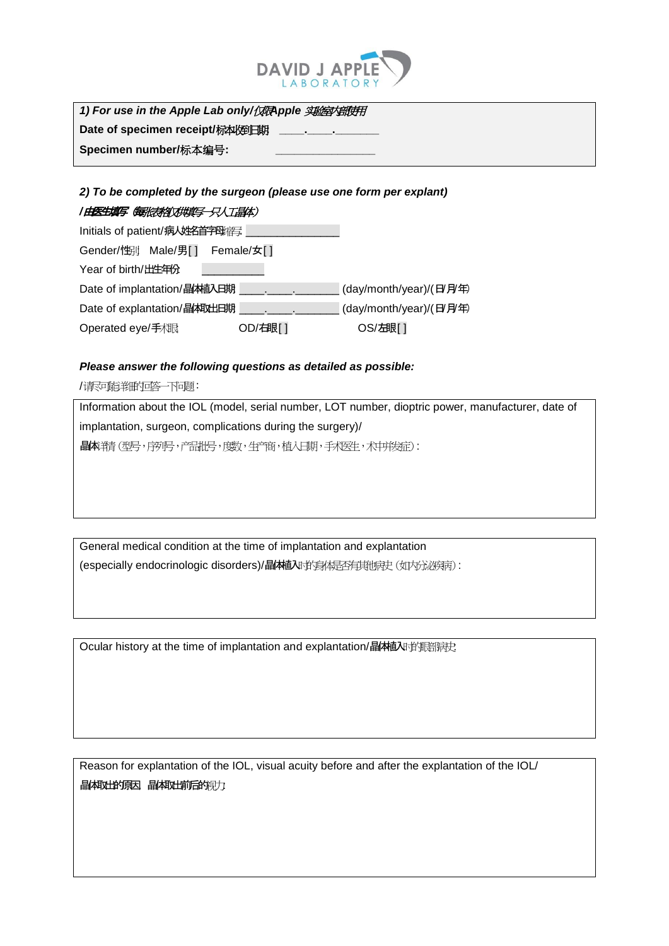

*1) For use in the Apple Lab only/*仅限*Apple* 实验室内部使用 Date of specimen receipt/标本收到日期

**Specimen number/标本编号:** 

## *2) To be completed by the surgeon (please use one form per explant)* /**由医生填写 《每**张表格》《拱填写一只人工晶体》

## Initials of patient/病人姓名首字母缩写: \_\_\_\_\_\_\_\_\_\_\_\_\_\_\_ Gender/性别: Male/男[ ] Female/女[ ] Year of birth/出生年份: Date of implantation/晶林植入日期 \_\_\_\_\_\_\_\_\_\_\_\_\_\_\_\_\_\_\_\_ (day/month/year)/(日/月年) Date of explantation/晶体社日期 \_\_\_\_\_\_\_\_\_\_\_\_\_\_\_\_\_\_\_\_ (day/month/year)/(日/月年) Operated eye/手相眼: OD/石眼[ ] OS/左眼[ ]

## *Please answer the following questions as detailed as possible:*

/请尽可能详细的回答一下问题:

Information about the IOL (model, serial number, LOT number, dioptric power, manufacturer, date of implantation, surgeon, complications during the surgery)/ 晶体详情(型号,序列号,产品批号,度数,生产商,植入日期,手术医生,术中并发症):

General medical condition at the time of implantation and explantation (especially endocrinologic disorders)/晶体植入时的身体是否有其他病史(如内分泌疾病):

Ocular history at the time of implantation and explantation/晶体植入时的眼镜

Reason for explantation of the IOL, visual acuity before and after the explantation of the IOL/ 晶体吸出的原因,晶体吸出的原因,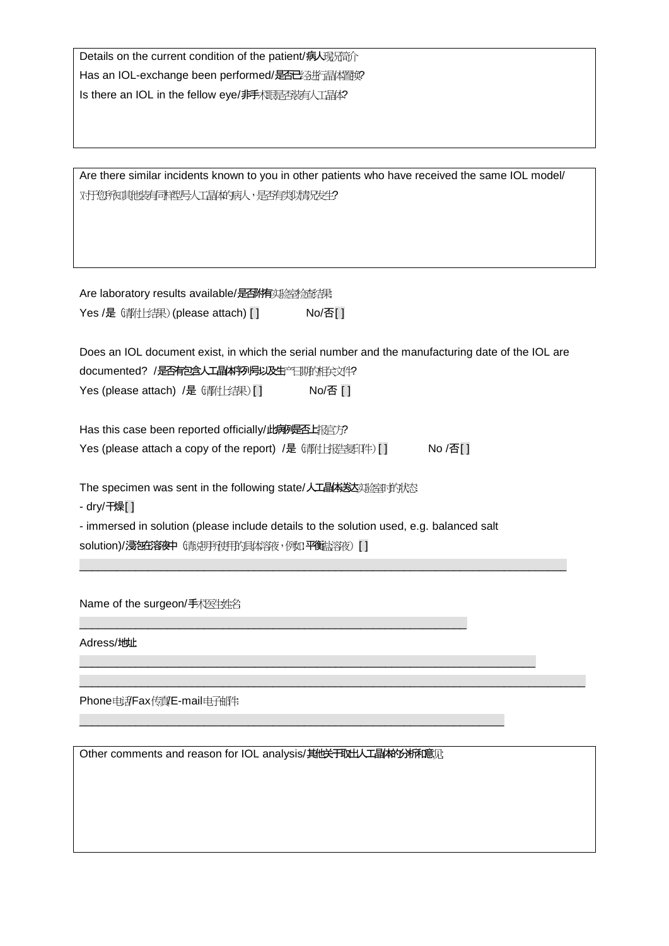Details on the current condition of the patient/病人现所简介 Has an IOL-exchange been performed/是否已经进行晶体置换? Is there an IOL in the fellow eye/非手术眼是否装有人工晶体?

Are there similar incidents known to you in other patients who have received the same IOL model/ 对于您所知其他装有可举些号人工晶体的病人,是否有类似情况发生?

Are laboratory results available/是否作实验检查课: Yes /是 (请付上结果) (please attach) [ ] No/否[ ]

Does an IOL document exist, in which the serial number and the manufacturing date of the IOL are documented? /是否有包含人工晶体序列号以及生产日期的相关文件? Yes (please attach) /是 (都仕结果) [ ] No/否 [ ]

Has this case been reported officially/此病例是否上报官方? Yes (please attach a copy of the report) /是 (講社封告复印件) [ ] No /否[ ]

The specimen was sent in the following state/人工晶体送达实验室时的状态:

- dry/干燥[ ]

- immersed in solution (please include details to the solution used, e.g. balanced salt solution)/浸包在容夜中(请说用所使用的具体容夜,例如平衡盐溶液)[]

\_\_\_\_\_\_\_\_\_\_\_\_\_\_\_\_\_\_\_\_\_\_\_\_\_\_\_\_\_\_\_\_\_\_\_\_\_\_\_\_\_\_\_\_\_\_\_\_\_\_\_\_\_\_\_\_\_\_\_\_\_\_

\_\_\_\_\_\_\_\_\_\_\_\_\_\_\_\_\_\_\_\_\_\_\_\_\_\_\_\_\_\_\_\_\_\_\_\_\_\_\_\_\_\_\_\_\_\_\_\_\_\_\_\_\_\_\_\_\_\_\_\_\_\_\_\_\_\_\_\_\_\_\_\_\_\_\_\_\_\_

\_\_\_\_\_\_\_\_\_\_\_\_\_\_\_\_\_\_\_\_\_\_\_\_\_\_\_\_\_\_\_\_\_\_\_\_\_\_\_\_\_\_\_\_\_\_\_\_\_\_\_\_\_\_\_\_\_\_\_\_\_\_\_\_\_\_\_\_\_\_\_\_\_

\_\_\_\_\_\_\_\_\_\_\_\_\_\_\_\_\_\_\_\_\_\_\_\_\_\_\_\_\_\_\_\_\_\_\_\_\_\_\_\_\_\_\_\_\_\_\_\_\_\_\_\_\_\_\_\_\_\_\_\_\_\_\_\_\_\_\_\_

\_\_\_\_\_\_\_\_\_\_\_\_\_\_\_\_\_\_\_\_\_\_\_\_\_\_\_\_\_\_\_\_\_\_\_\_\_\_\_\_\_\_\_\_\_\_\_\_\_\_\_\_\_\_\_\_\_\_\_\_\_\_\_\_\_\_\_\_\_\_\_\_\_\_\_\_\_\_\_\_\_

Name of the surgeon/手术医生姓名

Adress/地址:

Phone电话Fax传真/E-mail电子邮件:

Other comments and reason for IOL analysis/其他关于取出人工晶体的淅和意见: